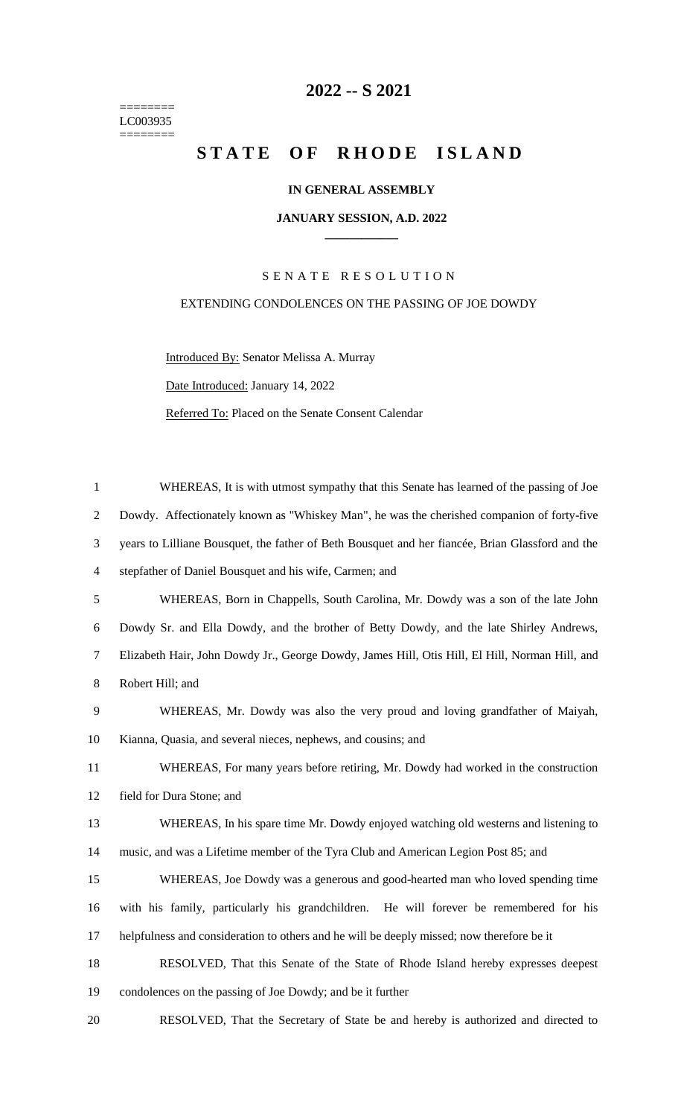======== LC003935 ========

# **-- S 2021**

# STATE OF RHODE ISLAND

# **IN GENERAL ASSEMBLY**

#### **JANUARY SESSION, A.D. 2022 \_\_\_\_\_\_\_\_\_\_\_\_**

## S E N A T E R E S O L U T I O N

### EXTENDING CONDOLENCES ON THE PASSING OF JOE DOWDY

Introduced By: Senator Melissa A. Murray Date Introduced: January 14, 2022 Referred To: Placed on the Senate Consent Calendar

| $\mathbf{1}$   | WHEREAS, It is with utmost sympathy that this Senate has learned of the passing of Joe           |
|----------------|--------------------------------------------------------------------------------------------------|
| $\overline{2}$ | Dowdy. Affectionately known as "Whiskey Man", he was the cherished companion of forty-five       |
| 3              | years to Lilliane Bousquet, the father of Beth Bousquet and her fiancée, Brian Glassford and the |
| $\overline{4}$ | stepfather of Daniel Bousquet and his wife, Carmen; and                                          |
| 5              | WHEREAS, Born in Chappells, South Carolina, Mr. Dowdy was a son of the late John                 |
| 6              | Dowdy Sr. and Ella Dowdy, and the brother of Betty Dowdy, and the late Shirley Andrews,          |
| $\tau$         | Elizabeth Hair, John Dowdy Jr., George Dowdy, James Hill, Otis Hill, El Hill, Norman Hill, and   |
| 8              | Robert Hill; and                                                                                 |
| 9              | WHEREAS, Mr. Dowdy was also the very proud and loving grandfather of Maiyah,                     |
| 10             | Kianna, Quasia, and several nieces, nephews, and cousins; and                                    |
| 11             | WHEREAS, For many years before retiring, Mr. Dowdy had worked in the construction                |
| 12             | field for Dura Stone; and                                                                        |
| 13             | WHEREAS, In his spare time Mr. Dowdy enjoyed watching old westerns and listening to              |
| 14             | music, and was a Lifetime member of the Tyra Club and American Legion Post 85; and               |
| 15             | WHEREAS, Joe Dowdy was a generous and good-hearted man who loved spending time                   |
| 16             | with his family, particularly his grandchildren. He will forever be remembered for his           |
| 17             | helpfulness and consideration to others and he will be deeply missed; now therefore be it        |
| 18             | RESOLVED, That this Senate of the State of Rhode Island hereby expresses deepest                 |
| 19             | condolences on the passing of Joe Dowdy; and be it further                                       |
| 20             | RESOLVED, That the Secretary of State be and hereby is authorized and directed to                |